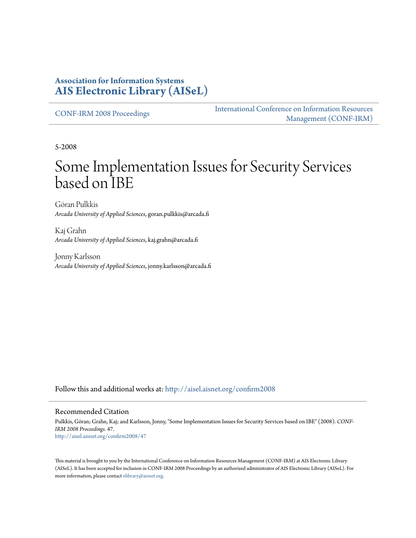### **Association for Information Systems [AIS Electronic Library \(AISeL\)](http://aisel.aisnet.org?utm_source=aisel.aisnet.org%2Fconfirm2008%2F47&utm_medium=PDF&utm_campaign=PDFCoverPages)**

[CONF-IRM 2008 Proceedings](http://aisel.aisnet.org/confirm2008?utm_source=aisel.aisnet.org%2Fconfirm2008%2F47&utm_medium=PDF&utm_campaign=PDFCoverPages)

[International Conference on Information Resources](http://aisel.aisnet.org/conf-irm?utm_source=aisel.aisnet.org%2Fconfirm2008%2F47&utm_medium=PDF&utm_campaign=PDFCoverPages) [Management \(CONF-IRM\)](http://aisel.aisnet.org/conf-irm?utm_source=aisel.aisnet.org%2Fconfirm2008%2F47&utm_medium=PDF&utm_campaign=PDFCoverPages)

5-2008

# Some Implementation Issues for Security Services based on IBE

Göran Pulkkis *Arcada University of Applied Sciences*, goran.pulkkis@arcada.fi

Kaj Grahn *Arcada University of Applied Sciences*, kaj.grahn@arcada.fi

Jonny Karlsson *Arcada University of Applied Sciences*, jonny.karlsson@arcada.fi

Follow this and additional works at: [http://aisel.aisnet.org/confirm2008](http://aisel.aisnet.org/confirm2008?utm_source=aisel.aisnet.org%2Fconfirm2008%2F47&utm_medium=PDF&utm_campaign=PDFCoverPages)

#### Recommended Citation

Pulkkis, Göran; Grahn, Kaj; and Karlsson, Jonny, "Some Implementation Issues for Security Services based on IBE" (2008). *CONF-IRM 2008 Proceedings*. 47. [http://aisel.aisnet.org/confirm2008/47](http://aisel.aisnet.org/confirm2008/47?utm_source=aisel.aisnet.org%2Fconfirm2008%2F47&utm_medium=PDF&utm_campaign=PDFCoverPages)

This material is brought to you by the International Conference on Information Resources Management (CONF-IRM) at AIS Electronic Library (AISeL). It has been accepted for inclusion in CONF-IRM 2008 Proceedings by an authorized administrator of AIS Electronic Library (AISeL). For more information, please contact [elibrary@aisnet.org.](mailto:elibrary@aisnet.org%3E)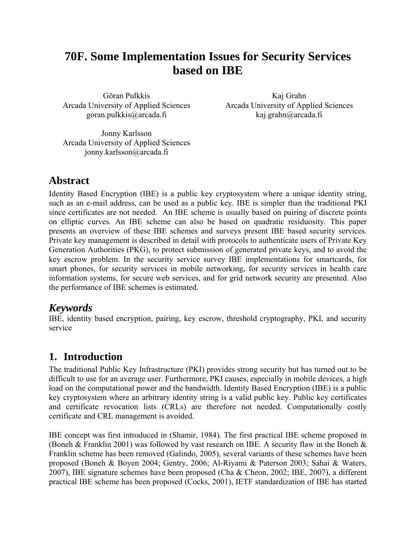## **70F. Some Implementation Issues for Security Services based on IBE**

Göran Pulkkis Arcada University of Applied Sciences goran.pulkkis@arcada.fi

Kaj Grahn Arcada University of Applied Sciences kaj.grahn@arcada.fi

Jonny Karlsson Arcada University of Applied Sciences jonny.karlsson@arcada.fi

## **Abstract**

Identity Based Encryption (IBE) is a public key cryptosystem where a unique identity string, such as an e-mail address, can be used as a public key. IBE is simpler than the traditional PKI since certificates are not needed. An IBE scheme is usually based on pairing of discrete points on elliptic curves. An IBE scheme can also be based on quadratic residuosity. This paper presents an overview of these IBE schemes and surveys present IBE based security services. Private key management is described in detail with protocols to authenticate users of Private Key Generation Authorities (PKG), to protect submission of generated private keys, and to avoid the key escrow problem. In the security service survey IBE implementations for smartcards, for smart phones, for security services in mobile networking, for security services in health care information systems, for secure web services, and for grid network security are presented. Also the performance of IBE schemes is estimated.

## *Keywords*

IBE, identity based encryption, pairing, key escrow, threshold cryptography, PKI, and security service

## **1. Introduction**

The traditional Public Key Infrastructure (PKI) provides strong security but has turned out to be difficult to use for an average user. Furthermore, PKI causes, especially in mobile devices, a high load on the computational power and the bandwidth. Identity Based Encryption (IBE) is a public key cryptosystem where an arbitrary identity string is a valid public key. Public key certificates and certificate revocation lists (CRLs) are therefore not needed. Computationally costly certificate and CRL management is avoided.

IBE concept was first introduced in (Shamir, 1984). The first practical IBE scheme proposed in (Boneh & Franklin 2001) was followed by vast research on IBE. A security flaw in the Boneh & Franklin scheme has been removed (Galindo, 2005), several variants of these schemes have been proposed (Boneh & Boyen 2004; Gentry, 2006; Al-Riyami & Paterson 2003; Sahai & Waters, 2007), IBE signature schemes have been proposed (Cha & Cheon, 2002; IBE, 2007), a different practical IBE scheme has been proposed (Cocks, 2001), IETF standardization of IBE has started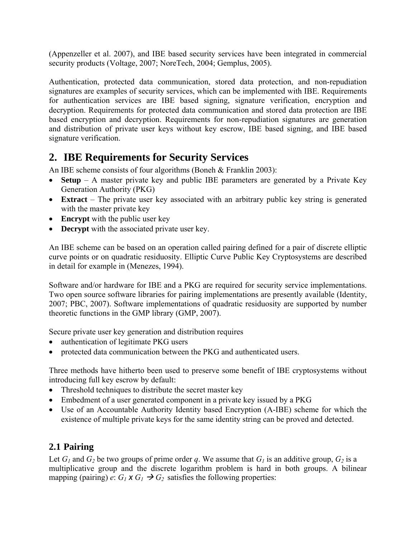(Appenzeller et al. 2007), and IBE based security services have been integrated in commercial security products (Voltage, 2007; NoreTech, 2004; Gemplus, 2005).

Authentication, protected data communication, stored data protection, and non-repudiation signatures are examples of security services, which can be implemented with IBE. Requirements for authentication services are IBE based signing, signature verification, encryption and decryption. Requirements for protected data communication and stored data protection are IBE based encryption and decryption. Requirements for non-repudiation signatures are generation and distribution of private user keys without key escrow, IBE based signing, and IBE based signature verification.

## **2. IBE Requirements for Security Services**

An IBE scheme consists of four algorithms (Boneh & Franklin 2003):

- **Setup** A master private key and public IBE parameters are generated by a Private Key Generation Authority (PKG)
- **Extract** The private user key associated with an arbitrary public key string is generated with the master private key
- **Encrypt** with the public user key
- **Decrypt** with the associated private user key.

An IBE scheme can be based on an operation called pairing defined for a pair of discrete elliptic curve points or on quadratic residuosity. Elliptic Curve Public Key Cryptosystems are described in detail for example in (Menezes, 1994).

Software and/or hardware for IBE and a PKG are required for security service implementations. Two open source software libraries for pairing implementations are presently available (Identity, 2007; PBC, 2007). Software implementations of quadratic residuosity are supported by number theoretic functions in the GMP library (GMP, 2007).

Secure private user key generation and distribution requires

- authentication of legitimate PKG users
- protected data communication between the PKG and authenticated users.

Three methods have hitherto been used to preserve some benefit of IBE cryptosystems without introducing full key escrow by default:

- Threshold techniques to distribute the secret master key
- Embedment of a user generated component in a private key issued by a PKG
- Use of an Accountable Authority Identity based Encryption (A-IBE) scheme for which the existence of multiple private keys for the same identity string can be proved and detected.

## **2.1 Pairing**

Let  $G_1$  and  $G_2$  be two groups of prime order q. We assume that  $G_1$  is an additive group,  $G_2$  is a multiplicative group and the discrete logarithm problem is hard in both groups. A bilinear mapping (pairing) *e*:  $G_1 \times G_2 \rightarrow G_2$  satisfies the following properties: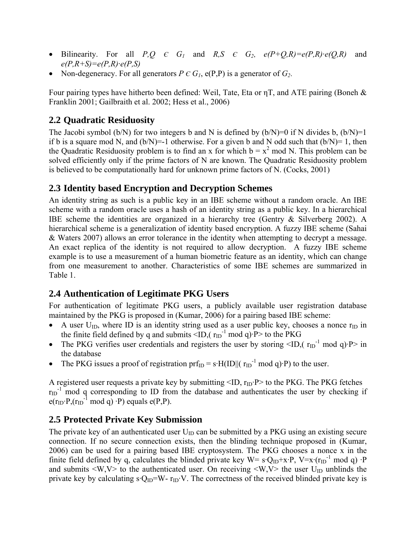- Bilinearity. For all *P,Q*  $\epsilon$   $G_1$  and  $R, S \epsilon$   $G_2$ ,  $e(P+Q,R)=e(P,R)\cdot e(Q,R)$  and *e(P,R+S)=e(P,R)·e(P,S)*
- Non-degeneracy. For all generators  $P \in G_I$ ,  $e(P, P)$  is a generator of  $G_2$ .

Four pairing types have hitherto been defined: Weil, Tate, Eta or ηT, and ATE pairing (Boneh & Franklin 2001; Gailbraith et al. 2002; Hess et al., 2006)

## **2.2 Quadratic Residuosity**

The Jacobi symbol (b/N) for two integers b and N is defined by (b/N)=0 if N divides b,  $(b/N)=1$ if b is a square mod N, and  $(b/N)=1$  otherwise. For a given b and N odd such that  $(b/N)=1$ , then the Quadratic Residuosity problem is to find an x for which  $b = x^2 \text{ mod } N$ . This problem can be solved efficiently only if the prime factors of N are known. The Quadratic Residuosity problem is believed to be computationally hard for unknown prime factors of N. (Cocks, 2001)

## **2.3 Identity based Encryption and Decryption Schemes**

An identity string as such is a public key in an IBE scheme without a random oracle. An IBE scheme with a random oracle uses a hash of an identity string as a public key. In a hierarchical IBE scheme the identities are organized in a hierarchy tree (Gentry & Silverberg 2002). A hierarchical scheme is a generalization of identity based encryption. A fuzzy IBE scheme (Sahai & Waters 2007) allows an error tolerance in the identity when attempting to decrypt a message. An exact replica of the identity is not required to allow decryption. A fuzzy IBE scheme example is to use a measurement of a human biometric feature as an identity, which can change from one measurement to another. Characteristics of some IBE schemes are summarized in Table 1.

## **2.4 Authentication of Legitimate PKG Users**

For authentication of legitimate PKG users, a publicly available user registration database maintained by the PKG is proposed in (Kumar, 2006) for a pairing based IBE scheme:

- A user  $U_{ID}$ , where ID is an identity string used as a user public key, chooses a nonce  $r_{ID}$  in the finite field defined by q and submits  $\leq$ ID,( $r_{ID}^{-1}$  mod q) $\cdot$ P> to the PKG
- The PKG verifies user credentials and registers the user by storing  $\text{LID}$ ,  $\text{LID}^{-1}$  mod q) $\text{P> in}$ the database
- The PKG issues a proof of registration  $\text{prf}_{ID} = s \cdot H(ID||(r_{ID}^{-1} \text{ mod } q) \cdot P)$  to the user.

A registered user requests a private key by submitting  $\langle ID, r_{ID} \rangle$  to the PKG. The PKG fetches  $r_{ID}$ <sup>1</sup> mod q corresponding to ID from the database and authenticates the user by checking if  $e(r_{ID} \cdot P, (r_{ID}^{-1} \text{ mod } q) \cdot P)$  equals  $e(P, P)$ .

## **2.5 Protected Private Key Submission**

The private key of an authenticated user  $U_{ID}$  can be submitted by a PKG using an existing secure connection. If no secure connection exists, then the blinding technique proposed in (Kumar, 2006) can be used for a pairing based IBE cryptosystem. The PKG chooses a nonce x in the finite field defined by q, calculates the blinded private key W=  $s \cdot Q_{ID} + x \cdot P$ , V=x $(r_{ID}^{-1} \text{ mod } q) \cdot P$ and submits  $\langle W, V \rangle$  to the authenticated user. On receiving  $\langle W, V \rangle$  the user U<sub>ID</sub> unblinds the private key by calculating  $s \cdot Q_{ID} = W - r_{ID} \cdot V$ . The correctness of the received blinded private key is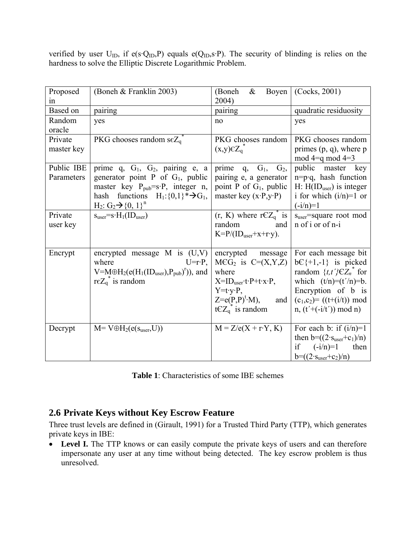verified by user  $U_{ID}$ , if  $e(s \cdot Q_{ID}, P)$  equals  $e(Q_{ID}, s \cdot P)$ . The security of blinding is relies on the hardness to solve the Elliptic Discrete Logarithmic Problem.

| Proposed   | (Boneh & Franklin 2003)                                 | (Boneh)<br>$\&$<br>Boyen                                     | (Cocks, 2001)                          |
|------------|---------------------------------------------------------|--------------------------------------------------------------|----------------------------------------|
| in         |                                                         | 2004)                                                        |                                        |
| Based on   | pairing                                                 | pairing                                                      | quadratic residuosity                  |
| Random     | yes                                                     | no                                                           | yes                                    |
| oracle     |                                                         |                                                              |                                        |
| Private    | PKG chooses random s $\varepsilon Z_{q}$ <sup>*</sup>   | PKG chooses random                                           | PKG chooses random                     |
| master key |                                                         | $(x,y)\in Z_q^*$                                             | primes $(p, q)$ , where $p$            |
|            |                                                         |                                                              | mod $4=q$ mod $4=3$                    |
| Public IBE | prime q, G <sub>1</sub> , G <sub>2</sub> , pairing e, a | prime<br>q, $G_1$ ,<br>G <sub>2</sub>                        | public master key                      |
| Parameters | generator point P of $G_1$ , public                     | pairing e, a generator                                       | $n=p \cdot q$ , hash function          |
|            | master key $P_{pub}=s \cdot P$ , integer n,             | point P of G <sub>1</sub> , public                           | $H: H(IDuser)$ is integer              |
|            | functions $H_1$ : {0,1} $*\rightarrow G_1$ ,<br>hash    | master key $(x \cdot P, y \cdot P)$                          | i for which $(i/n)=1$ or               |
|            | $H_2: G_2 \rightarrow \{0, 1\}^n$                       |                                                              | $(-i/n)=1$                             |
| Private    | $s_{user} = s \cdot H_1(ID_{user})$                     | $(r, K)$ where $rCZ_q^*$ is                                  | s <sub>user</sub> =square root mod     |
| user key   |                                                         | random<br>and                                                | n of i or of n-i                       |
|            |                                                         | $K = P/(ID_{user}+x+r y)$ .                                  |                                        |
|            |                                                         |                                                              |                                        |
| Encrypt    | encrypted message $M$ is $(U,V)$                        | encrypted message                                            | For each message bit                   |
|            | where<br>$U = r \cdot P$ ,                              | $MCG2$ is $C=(X,Y,Z)$                                        | $bC_{1}+1,-1$ is picked                |
|            | $V=M\oplus H_2(e(H_1(ID_{user}), P_{pub})^r))$ , and    | where                                                        | random $\{t, t'\} \in Z_n^*$ for       |
|            | re $Z_q^*$ is random                                    | $X=ID_{user} \cdot t \cdot P + t \cdot x \cdot P,$           | which $(t/n)=(t'/n)=b$ .               |
|            |                                                         | $Y = t \cdot y \cdot P$ ,                                    | Encryption of b is                     |
|            |                                                         | $Z= e(P,P)^{t} \cdot M$ ,<br>and                             | $(c_1, c_2) = ((t+(i/t)) \mod$         |
|            |                                                         |                                                              |                                        |
|            |                                                         | tCZ <sub>q</sub> <sup><math>\tilde{ }</math></sup> is random | $n, (t' + (-i/t')) \mod n)$            |
| Decrypt    | $M = V \oplus H_2(e(s_{user}, U))$                      | $M = Z/e(X + rY, K)$                                         | For each b: if $(i/n)=1$               |
|            |                                                         |                                                              | then b= $((2 \cdot s_{user} + c_1)/n)$ |
|            |                                                         |                                                              | if                                     |
|            |                                                         |                                                              | $(-i/n)=1$<br>then                     |
|            |                                                         |                                                              | $b=(2 \cdot s_{user}+c_2)/n)$          |

| <b>Table 1:</b> Characteristics of some IBE schemes |  |  |
|-----------------------------------------------------|--|--|
|-----------------------------------------------------|--|--|

### **2.6 Private Keys without Key Escrow Feature**

Three trust levels are defined in (Girault, 1991) for a Trusted Third Party (TTP), which generates private keys in IBE:

• **Level I.** The TTP knows or can easily compute the private keys of users and can therefore impersonate any user at any time without being detected. The key escrow problem is thus unresolved.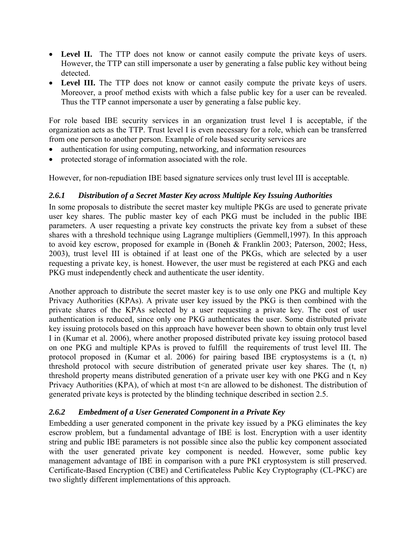- Level II. The TTP does not know or cannot easily compute the private keys of users. However, the TTP can still impersonate a user by generating a false public key without being detected.
- Level III. The TTP does not know or cannot easily compute the private keys of users. Moreover, a proof method exists with which a false public key for a user can be revealed. Thus the TTP cannot impersonate a user by generating a false public key.

For role based IBE security services in an organization trust level I is acceptable, if the organization acts as the TTP. Trust level I is even necessary for a role, which can be transferred from one person to another person. Example of role based security services are

- authentication for using computing, networking, and information resources
- protected storage of information associated with the role.

However, for non-repudiation IBE based signature services only trust level III is acceptable.

#### *2.6.1 Distribution of a Secret Master Key across Multiple Key Issuing Authorities*

In some proposals to distribute the secret master key multiple PKGs are used to generate private user key shares. The public master key of each PKG must be included in the public IBE parameters. A user requesting a private key constructs the private key from a subset of these shares with a threshold technique using Lagrange multipliers (Gemmell,1997). In this approach to avoid key escrow, proposed for example in (Boneh & Franklin 2003; Paterson, 2002; Hess, 2003), trust level III is obtained if at least one of the PKGs, which are selected by a user requesting a private key, is honest. However, the user must be registered at each PKG and each PKG must independently check and authenticate the user identity.

Another approach to distribute the secret master key is to use only one PKG and multiple Key Privacy Authorities (KPAs). A private user key issued by the PKG is then combined with the private shares of the KPAs selected by a user requesting a private key. The cost of user authentication is reduced, since only one PKG authenticates the user. Some distributed private key issuing protocols based on this approach have however been shown to obtain only trust level I in (Kumar et al. 2006), where another proposed distributed private key issuing protocol based on one PKG and multiple KPAs is proved to fulfill the requirements of trust level III. The protocol proposed in (Kumar et al. 2006) for pairing based IBE cryptosystems is a (t, n) threshold protocol with secure distribution of generated private user key shares. The (t, n) threshold property means distributed generation of a private user key with one PKG and n Key Privacy Authorities (KPA), of which at most  $t \leq n$  are allowed to be dishonest. The distribution of generated private keys is protected by the blinding technique described in section 2.5.

#### *2.6.2 Embedment of a User Generated Component in a Private Key*

Embedding a user generated component in the private key issued by a PKG eliminates the key escrow problem, but a fundamental advantage of IBE is lost. Encryption with a user identity string and public IBE parameters is not possible since also the public key component associated with the user generated private key component is needed. However, some public key management advantage of IBE in comparison with a pure PKI cryptosystem is still preserved. Certificate-Based Encryption (CBE) and Certificateless Public Key Cryptography (CL-PKC) are two slightly different implementations of this approach.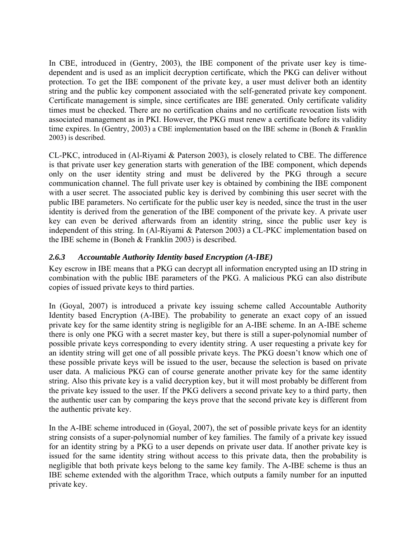In CBE, introduced in (Gentry, 2003), the IBE component of the private user key is timedependent and is used as an implicit decryption certificate, which the PKG can deliver without protection. To get the IBE component of the private key, a user must deliver both an identity string and the public key component associated with the self-generated private key component. Certificate management is simple, since certificates are IBE generated. Only certificate validity times must be checked. There are no certification chains and no certificate revocation lists with associated management as in PKI. However, the PKG must renew a certificate before its validity time expires. In (Gentry, 2003) a CBE implementation based on the IBE scheme in (Boneh & Franklin 2003) is described.

CL-PKC, introduced in (Al-Riyami & Paterson 2003), is closely related to CBE. The difference is that private user key generation starts with generation of the IBE component, which depends only on the user identity string and must be delivered by the PKG through a secure communication channel. The full private user key is obtained by combining the IBE component with a user secret. The associated public key is derived by combining this user secret with the public IBE parameters. No certificate for the public user key is needed, since the trust in the user identity is derived from the generation of the IBE component of the private key. A private user key can even be derived afterwards from an identity string, since the public user key is independent of this string. In (Al-Riyami & Paterson 2003) a CL-PKC implementation based on the IBE scheme in (Boneh & Franklin 2003) is described.

#### *2.6.3 Accountable Authority Identity based Encryption (A-IBE)*

Key escrow in IBE means that a PKG can decrypt all information encrypted using an ID string in combination with the public IBE parameters of the PKG. A malicious PKG can also distribute copies of issued private keys to third parties.

In (Goyal, 2007) is introduced a private key issuing scheme called Accountable Authority Identity based Encryption (A-IBE). The probability to generate an exact copy of an issued private key for the same identity string is negligible for an A-IBE scheme. In an A-IBE scheme there is only one PKG with a secret master key, but there is still a super-polynomial number of possible private keys corresponding to every identity string. A user requesting a private key for an identity string will get one of all possible private keys. The PKG doesn't know which one of these possible private keys will be issued to the user, because the selection is based on private user data. A malicious PKG can of course generate another private key for the same identity string. Also this private key is a valid decryption key, but it will most probably be different from the private key issued to the user. If the PKG delivers a second private key to a third party, then the authentic user can by comparing the keys prove that the second private key is different from the authentic private key.

In the A-IBE scheme introduced in (Goyal, 2007), the set of possible private keys for an identity string consists of a super-polynomial number of key families. The family of a private key issued for an identity string by a PKG to a user depends on private user data. If another private key is issued for the same identity string without access to this private data, then the probability is negligible that both private keys belong to the same key family. The A-IBE scheme is thus an IBE scheme extended with the algorithm Trace, which outputs a family number for an inputted private key.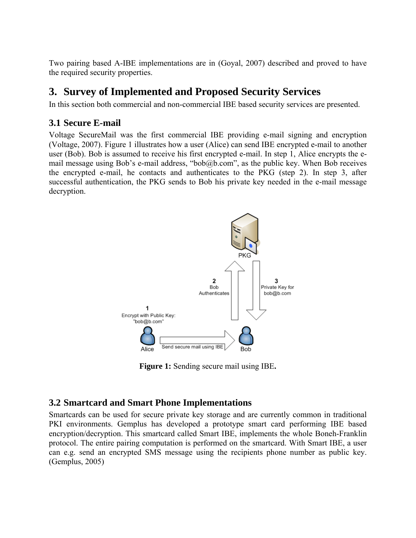Two pairing based A-IBE implementations are in (Goyal, 2007) described and proved to have the required security properties.

## **3. Survey of Implemented and Proposed Security Services**

In this section both commercial and non-commercial IBE based security services are presented.

## **3.1 Secure E-mail**

Voltage SecureMail was the first commercial IBE providing e-mail signing and encryption (Voltage, 2007). Figure 1 illustrates how a user (Alice) can send IBE encrypted e-mail to another user (Bob). Bob is assumed to receive his first encrypted e-mail. In step 1, Alice encrypts the email message using Bob's e-mail address, "bob@b.com", as the public key. When Bob receives the encrypted e-mail, he contacts and authenticates to the PKG (step 2). In step 3, after successful authentication, the PKG sends to Bob his private key needed in the e-mail message decryption.



**Figure 1:** Sending secure mail using IBE**.** 

## **3.2 Smartcard and Smart Phone Implementations**

Smartcards can be used for secure private key storage and are currently common in traditional PKI environments. Gemplus has developed a prototype smart card performing IBE based encryption/decryption. This smartcard called Smart IBE, implements the whole Boneh-Franklin protocol. The entire pairing computation is performed on the smartcard. With Smart IBE, a user can e.g. send an encrypted SMS message using the recipients phone number as public key. (Gemplus, 2005)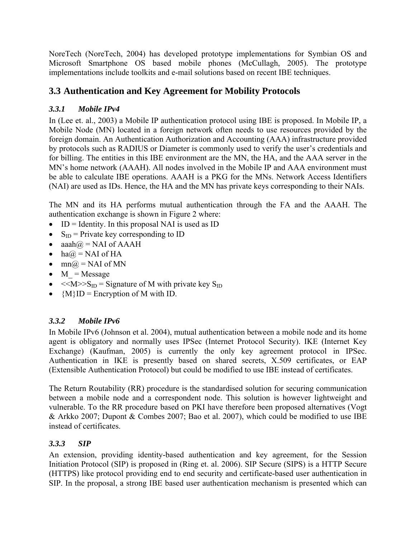NoreTech (NoreTech, 2004) has developed prototype implementations for Symbian OS and Microsoft Smartphone OS based mobile phones (McCullagh, 2005). The prototype implementations include toolkits and e-mail solutions based on recent IBE techniques.

## **3.3 Authentication and Key Agreement for Mobility Protocols**

#### *3.3.1 Mobile IPv4*

In (Lee et. al., 2003) a Mobile IP authentication protocol using IBE is proposed. In Mobile IP, a Mobile Node (MN) located in a foreign network often needs to use resources provided by the foreign domain. An Authentication Authorization and Accounting (AAA) infrastructure provided by protocols such as RADIUS or Diameter is commonly used to verify the user's credentials and for billing. The entities in this IBE environment are the MN, the HA, and the AAA server in the MN's home network (AAAH). All nodes involved in the Mobile IP and AAA environment must be able to calculate IBE operations. AAAH is a PKG for the MNs. Network Access Identifiers (NAI) are used as IDs. Hence, the HA and the MN has private keys corresponding to their NAIs.

The MN and its HA performs mutual authentication through the FA and the AAAH. The authentication exchange is shown in Figure 2 where:

- ID = Identity. In this proposal NAI is used as ID
- $S_{ID}$  = Private key corresponding to ID
- aaah $\omega$  = NAI of AAAH
- ha $\omega$  = NAI of HA
- $mn(\hat{a}) = NAI$  of MN
- $M = Message$
- $\langle \langle M \rangle > S_{\text{ID}} = S_{\text{I}}$  Signature of M with private key  $S_{\text{ID}}$
- ${M\setminus ID}$  = Encryption of M with ID.

### *3.3.2 Mobile IPv6*

In Mobile IPv6 (Johnson et al. 2004), mutual authentication between a mobile node and its home agent is obligatory and normally uses IPSec (Internet Protocol Security). IKE (Internet Key Exchange) (Kaufman, 2005) is currently the only key agreement protocol in IPSec. Authentication in IKE is presently based on shared secrets, X.509 certificates, or EAP (Extensible Authentication Protocol) but could be modified to use IBE instead of certificates.

The Return Routability (RR) procedure is the standardised solution for securing communication between a mobile node and a correspondent node. This solution is however lightweight and vulnerable. To the RR procedure based on PKI have therefore been proposed alternatives (Vogt & Arkko 2007; Dupont & Combes 2007; Bao et al. 2007), which could be modified to use IBE instead of certificates.

### *3.3.3 SIP*

An extension, providing identity-based authentication and key agreement, for the Session Initiation Protocol (SIP) is proposed in (Ring et. al. 2006). SIP Secure (SIPS) is a HTTP Secure (HTTPS) like protocol providing end to end security and certificate-based user authentication in SIP. In the proposal, a strong IBE based user authentication mechanism is presented which can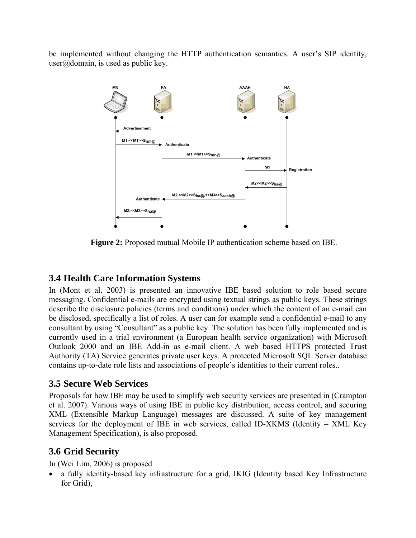be implemented without changing the HTTP authentication semantics. A user's SIP identity,  $user(\hat{\omega})$  domain, is used as public key.



**Figure 2:** Proposed mutual Mobile IP authentication scheme based on IBE.

## **3.4 Health Care Information Systems**

In (Mont et al. 2003) is presented an innovative IBE based solution to role based secure messaging. Confidential e-mails are encrypted using textual strings as public keys. These strings describe the disclosure policies (terms and conditions) under which the content of an e-mail can be disclosed, specifically a list of roles. A user can for example send a confidential e-mail to any consultant by using "Consultant" as a public key. The solution has been fully implemented and is currently used in a trial environment (a European health service organization) with Microsoft Outlook 2000 and an IBE Add-in as e-mail client. A web based HTTPS protected Trust Authority (TA) Service generates private user keys. A protected Microsoft SQL Server database contains up-to-date role lists and associations of people's identities to their current roles..

## **3.5 Secure Web Services**

Proposals for how IBE may be used to simplify web security services are presented in (Crampton et al. 2007). Various ways of using IBE in public key distribution, access control, and securing XML (Extensible Markup Language) messages are discussed. A suite of key management services for the deployment of IBE in web services, called ID-XKMS (Identity – XML Key Management Specification), is also proposed.

## **3.6 Grid Security**

In (Wei Lim, 2006) is proposed

• a fully identity-based key infrastructure for a grid, IKIG (Identity based Key Infrastructure for Grid),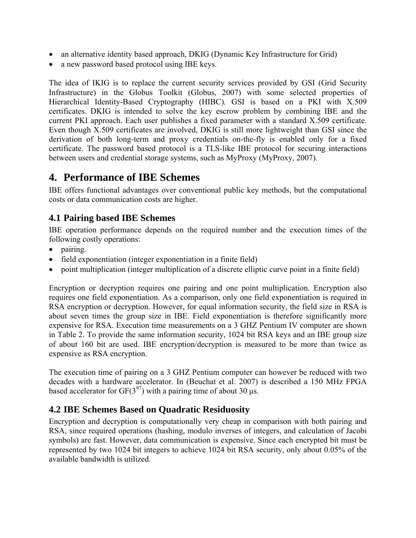- an alternative identity based approach, DKIG (Dynamic Key Infrastructure for Grid)
- a new password based protocol using IBE keys.

The idea of IKIG is to replace the current security services provided by GSI (Grid Security Infrastructure) in the Globus Toolkit (Globus, 2007) with some selected properties of Hierarchical Identity-Based Cryptography (HIBC). GSI is based on a PKI with X.509 certificates. DKIG is intended to solve the key escrow problem by combining IBE and the current PKI approach. Each user publishes a fixed parameter with a standard X.509 certificate. Even though X.509 certificates are involved, DKIG is still more lightweight than GSI since the derivation of both long-term and proxy credentials on-the-fly is enabled only for a fixed certificate. The password based protocol is a TLS-like IBE protocol for securing interactions between users and credential storage systems, such as MyProxy (MyProxy, 2007).

## **4. Performance of IBE Schemes**

IBE offers functional advantages over conventional public key methods, but the computational costs or data communication costs are higher.

## **4.1 Pairing based IBE Schemes**

IBE operation performance depends on the required number and the execution times of the following costly operations:

- pairing.
- field exponentiation (integer exponentiation in a finite field)
- point multiplication (integer multiplication of a discrete elliptic curve point in a finite field)

Encryption or decryption requires one pairing and one point multiplication. Encryption also requires one field exponentiation. As a comparison, only one field exponentiation is required in RSA encryption or decryption. However, for equal information security, the field size in RSA is about seven times the group size in IBE. Field exponentiation is therefore significantly more expensive for RSA. Execution time measurements on a 3 GHZ Pentium IV computer are shown in Table 2. To provide the same information security, 1024 bit RSA keys and an IBE group size of about 160 bit are used. IBE encryption/decryption is measured to be more than twice as expensive as RSA encryption.

The execution time of pairing on a 3 GHZ Pentium computer can however be reduced with two decades with a hardware accelerator. In (Beuchat et al. 2007) is described a 150 MHz FPGA based accelerator for  $GF(3^{97})$  with a pairing time of about 30 μs.

### **4.2 IBE Schemes Based on Quadratic Residuosity**

Encryption and decryption is computationally very cheap in comparison with both pairing and RSA, since required operations (hashing, modulo inverses of integers, and calculation of Jacobi symbols) are fast. However, data communication is expensive. Since each encrypted bit must be represented by two 1024 bit integers to achieve 1024 bit RSA security, only about 0.05% of the available bandwidth is utilized.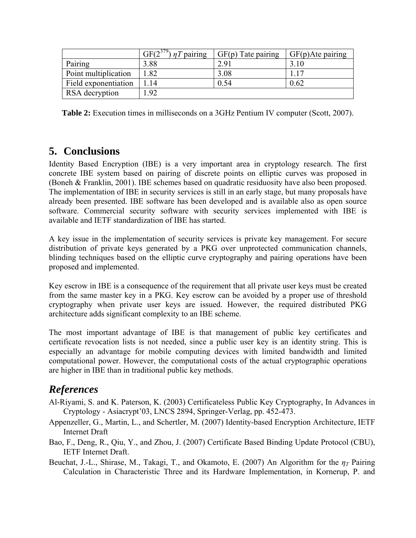|                      | $GF(2^{379})$<br>$nT$ pairing | $GF(p)$ Tate pairing | $GF(p)$ Ate pairing |
|----------------------|-------------------------------|----------------------|---------------------|
| Pairing              | 3.88                          | 2.91                 |                     |
| Point multiplication | .82                           | 3.08                 |                     |
| Field exponentiation | -14                           | 0.54                 | $0.62\,$            |
| RSA decryption       | .92                           |                      |                     |

**Table 2:** Execution times in milliseconds on a 3GHz Pentium IV computer (Scott, 2007).

## **5. Conclusions**

Identity Based Encryption (IBE) is a very important area in cryptology research. The first concrete IBE system based on pairing of discrete points on elliptic curves was proposed in (Boneh & Franklin, 2001). IBE schemes based on quadratic residuosity have also been proposed. The implementation of IBE in security services is still in an early stage, but many proposals have already been presented. IBE software has been developed and is available also as open source software. Commercial security software with security services implemented with IBE is available and IETF standardization of IBE has started.

A key issue in the implementation of security services is private key management. For secure distribution of private keys generated by a PKG over unprotected communication channels, blinding techniques based on the elliptic curve cryptography and pairing operations have been proposed and implemented.

Key escrow in IBE is a consequence of the requirement that all private user keys must be created from the same master key in a PKG. Key escrow can be avoided by a proper use of threshold cryptography when private user keys are issued. However, the required distributed PKG architecture adds significant complexity to an IBE scheme.

The most important advantage of IBE is that management of public key certificates and certificate revocation lists is not needed, since a public user key is an identity string. This is especially an advantage for mobile computing devices with limited bandwidth and limited computational power. However, the computational costs of the actual cryptographic operations are higher in IBE than in traditional public key methods.

## *References*

- Al-Riyami, S. and K. Paterson, K. (2003) Certificateless Public Key Cryptography, In Advances in Cryptology - Asiacrypt'03, LNCS 2894, Springer-Verlag, pp. 452-473.
- Appenzeller, G., Martin, L., and Schertler, M. (2007) Identity-based Encryption Architecture, IETF Internet Draft
- Bao, F., Deng, R., Qiu, Y., and Zhou, J. (2007) Certificate Based Binding Update Protocol (CBU), IETF Internet Draft.
- Beuchat, J.-L., Shirase, M., Takagi, T., and Okamoto, E. (2007) An Algorithm for the *ηT* Pairing Calculation in Characteristic Three and its Hardware Implementation, in Kornerup, P. and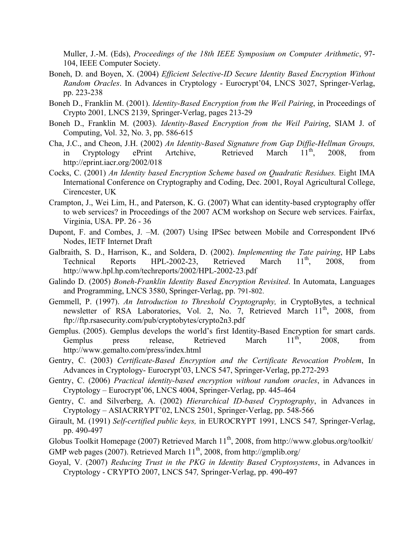Muller, J.-M. (Eds), *Proceedings of the 18th IEEE Symposium on Computer Arithmetic*, 97- 104, IEEE Computer Society.

- Boneh, D. and Boyen, X. (2004) *Efficient Selective-ID Secure Identity Based Encryption Without Random Oracles*. In Advances in Cryptology - Eurocrypt'04, LNCS 3027, Springer-Verlag, pp. 223-238
- Boneh D., Franklin M. (2001). *Identity-Based Encryption from the Weil Pairing*, in Proceedings of Crypto 2001*,* LNCS 2139, Springer-Verlag, pages 213-29
- Boneh D., Franklin M. (2003). *Identity-Based Encryption from the Weil Pairing*, SIAM J. of Computing, Vol. 32, No. 3, pp. 586-615
- Cha, J.C., and Cheon, J.H. (2002) *An Identity-Based Signature from Gap Diffie-Hellman Groups,* in Cryptology ePrint Artchive, Retrieved March 11<sup>th</sup>, 2008, from http://eprint.iacr.org/2002/018
- Cocks, C. (2001) *An Identity based Encryption Scheme based on Quadratic Residues.* Eight IMA International Conference on Cryptography and Coding, Dec. 2001, Royal Agricultural College, Cirencester, UK
- Crampton, J., Wei Lim, H., and Paterson, K. G. (2007) What can identity-based cryptography offer to web services? in Proceedings of the 2007 ACM workshop on Secure web services. Fairfax, Virginia, USA. PP. 26 - 36
- Dupont, F. and Combes, J. –M. (2007) Using IPSec between Mobile and Correspondent IPv6 Nodes, IETF Internet Draft
- Galbraith, S. D., Harrison, K., and Soldera, D. (2002). *Implementing the Tate pairing*, HP Labs Technical Reports HPL-2002-23, Retrieved March  $11^{th}$ , 2008, from http://www.hpl.hp.com/techreports/2002/HPL-2002-23.pdf
- Galindo D. (2005) *Boneh-Franklin Identity Based Encryption Revisited*. In Automata, Languages and Programming, LNCS 3580, Springer-Verlag, pp. 791-802.
- Gemmell, P. (1997). *An Introduction to Threshold Cryptography,* in CryptoBytes, a technical newsletter of RSA Laboratories, Vol. 2, No. 7, Retrieved March  $11<sup>th</sup>$ , 2008, from ftp://ftp.rsasecurity.com/pub/cryptobytes/crypto2n3.pdf
- Gemplus. (2005). Gemplus develops the world's first Identity-Based Encryption for smart cards.<br>Gemplus press release, Retrieved March  $11^{th}$ , 2008, from Gemplus press release, Retrieved March  $11^{th}$ , 2008, from http://www.gemalto.com/press/index.html
- Gentry, C. (2003) *Certificate-Based Encryption and the Certificate Revocation Problem*, In Advances in Cryptology- Eurocrypt'03, LNCS 547, Springer-Verlag, pp.272-293
- Gentry, C. (2006) *Practical identity-based encryption without random oracles*, in Advances in Cryptology – Eurocrypt'06, LNCS 4004, Springer-Verlag, pp. 445-464
- Gentry, C. and Silverberg, A. (2002) *Hierarchical ID-based Cryptography*, in Advances in Cryptology – ASIACRRYPT'02, LNCS 2501, Springer-Verlag, pp. 548-566
- Girault, M. (1991) *Self-certified public keys,* in EUROCRYPT 1991, LNCS 547*,* Springer-Verlag, pp. 490-497
- Globus Toolkit Homepage (2007) Retrieved March 11<sup>th</sup>, 2008, from http://www.globus.org/toolkit/

GMP web pages (2007). Retrieved March  $11<sup>th</sup>$ , 2008, from http://gmplib.org/

Goyal, V. (2007) *Reducing Trust in the PKG in Identity Based Cryptosystems*, in Advances in Cryptology - CRYPTO 2007, LNCS 547*,* Springer-Verlag, pp. 490-497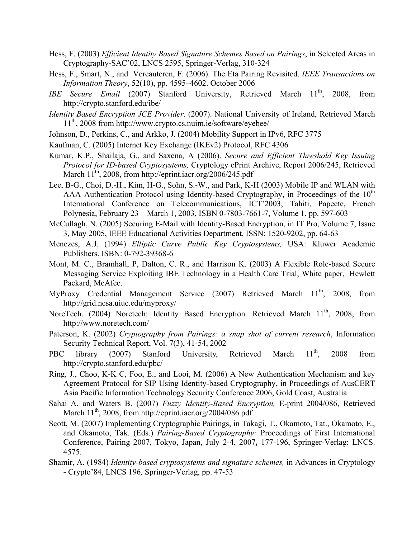- Hess, F. (2003) *Efficient Identity Based Signature Schemes Based on Pairings*, in Selected Areas in Cryptography-SAC'02, LNCS 2595, Springer-Verlag, 310-324
- Hess, F., Smart, N., and Vercauteren, F. (2006). The Eta Pairing Revisited. *IEEE Transactions on Information Theory*, 52(10), pp. 4595–4602. October 2006
- IBE Secure Email (2007) Stanford University, Retrieved March 11<sup>th</sup>, 2008, from http://crypto.stanford.edu/ibe/
- *Identity Based Encryption JCE Provider*. (2007). National University of Ireland, Retrieved March 11th, 2008 from http://www.crypto.cs.nuim.ie/software/eyebee/
- Johnson, D., Perkins, C., and Arkko, J. (2004) Mobility Support in IPv6, RFC 3775
- Kaufman, C. (2005) Internet Key Exchange (IKEv2) Protocol, RFC 4306
- Kumar, K.P., Shailaja, G., and Saxena, A (2006). *Secure and Efficient Threshold Key Issuing Protocol for ID-based Cryptosystems,* Cryptology ePrint Archive, Report 2006/245, Retrieved March 11<sup>th</sup>, 2008, from http://eprint.iacr.org/2006/245.pdf
- Lee, B-G., Choi, D.-H., Kim, H-G., Sohn, S.-W., and Park, K-H (2003) Mobile IP and WLAN with AAA Authentication Protocol using Identity-based Cryptography, in Proceedings of the  $10<sup>th</sup>$ International Conference on Telecommunications, ICT'2003, Tahiti, Papeete, French Polynesia, February 23 – March 1, 2003, ISBN 0-7803-7661-7, Volume 1, pp. 597-603
- McCullagh, N. (2005) Securing E-Mail with Identity-Based Encryption, in IT Pro, Volume 7, Issue 3, May 2005, IEEE Educational Activities Department, ISSN: 1520-9202, pp. 64-63
- Menezes, A.J. (1994) *Elliptic Curve Public Key Cryptosystems,* USA: Kluwer Academic Publishers. ISBN: 0-792-39368-6
- Mont, M. C., Bramhall, P, Dalton, C. R., and Harrison K. (2003) A Flexible Role-based Secure Messaging Service Exploiting IBE Technology in a Health Care Trial, White paper, Hewlett Packard, McAfee.
- MyProxy Credential Management Service (2007) Retrieved March 11<sup>th</sup>, 2008, from http://grid.ncsa.uiuc.edu/myproxy/
- NoreTech. (2004) Noretech: Identity Based Encryption. Retrieved March 11<sup>th</sup>, 2008, from http://www.noretech.com/
- Paterson, K. (2002) *Cryptography from Pairings: a snap shot of current research*, Information Security Technical Report, Vol. 7(3), 41-54, 2002
- PBC library (2007) Stanford University, Retrieved March 11<sup>th</sup>, 2008 from http://crypto.stanford.edu/pbc/
- Ring, J., Choo, K-K C, Foo, E., and Looi, M. (2006) A New Authentication Mechanism and key Agreement Protocol for SIP Using Identity-based Cryptography, in Proceedings of AusCERT Asia Pacific Information Technology Security Conference 2006, Gold Coast, Australia
- Sahai A. and Waters B. (2007) *Fuzzy Identity-Based Encryption,* E-print 2004/086, Retrieved March 11<sup>th</sup>, 2008, from http://eprint.iacr.org/2004/086.pdf
- Scott, M. (2007) Implementing Cryptographic Pairings, in Takagi, T., Okamoto, Tat., Okamoto, E., and Okamoto, Tak. (Eds.) *Pairing-Based Cryptography:* Proceedings of First International Conference, Pairing 2007, Tokyo, Japan, July 2-4, 2007**,** 177-196, Springer-Verlag: LNCS. 4575.
- Shamir, A. (1984) *Identity-based cryptosystems and signature schemes,* in Advances in Cryptology - Crypto'84, LNCS 196*,* Springer-Verlag, pp. 47-53